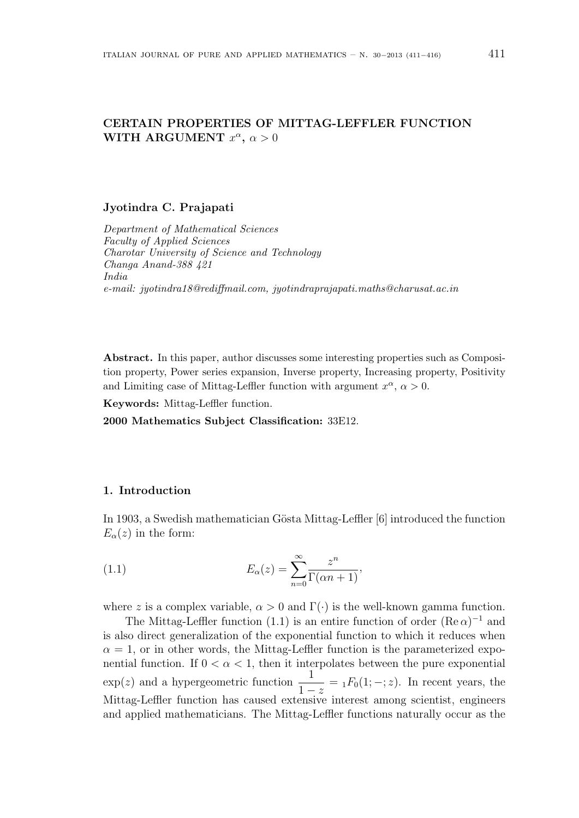# **CERTAIN PROPERTIES OF MITTAG-LEFFLER FUNCTION WITH ARGUMENT**  $x^{\alpha}$ ,  $\alpha > 0$

#### **Jyotindra C. Prajapati**

*Department of Mathematical Sciences Faculty of Applied Sciences Charotar University of Science and Technology Changa Anand-388 421 India e-mail: jyotindra18@rediffmail.com, jyotindraprajapati.maths@charusat.ac.in*

**Abstract.** In this paper, author discusses some interesting properties such as Composition property, Power series expansion, Inverse property, Increasing property, Positivity and Limiting case of Mittag-Leffler function with argument  $x^{\alpha}$ ,  $\alpha > 0$ .

**Keywords:** Mittag-Leffler function.

**2000 Mathematics Subject Classification:** 33E12.

#### **1. Introduction**

In 1903, a Swedish mathematician Gösta Mittag-Leffler [6] introduced the function  $E_{\alpha}(z)$  in the form:

(1.1) 
$$
E_{\alpha}(z) = \sum_{n=0}^{\infty} \frac{z^n}{\Gamma(\alpha n + 1)},
$$

where *z* is a complex variable,  $\alpha > 0$  and  $\Gamma(\cdot)$  is the well-known gamma function.

The Mittag-Leffler function (1.1) is an entire function of order  $(Re \alpha)^{-1}$  and is also direct generalization of the exponential function to which it reduces when  $\alpha = 1$ , or in other words, the Mittag-Leffler function is the parameterized exponential function. If  $0 < \alpha < 1$ , then it interpolates between the pure exponential  $\exp(z)$  and a hypergeometric function  $\frac{1}{1}$  $\frac{1}{1-z} = {}_1F_0(1;-;z)$ . In recent years, the Mittag-Leffler function has caused extensive interest among scientist, engineers and applied mathematicians. The Mittag-Leffler functions naturally occur as the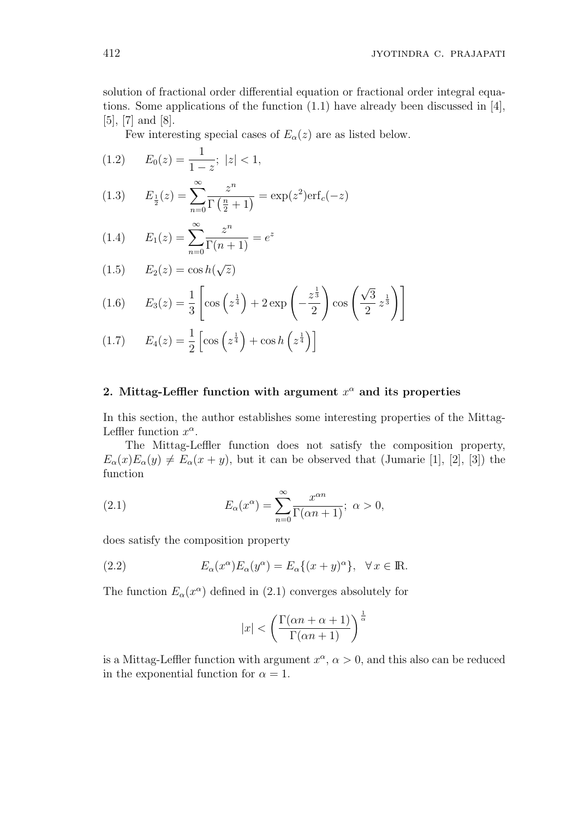solution of fractional order differential equation or fractional order integral equations. Some applications of the function (1.1) have already been discussed in [4], [5], [7] and [8].

Few interesting special cases of  $E_\alpha(z)$  are as listed below.

$$
(1.2) \qquad E_0(z) = \frac{1}{1-z}; \ |z| < 1,
$$

(1.3) 
$$
E_{\frac{1}{2}}(z) = \sum_{n=0}^{\infty} \frac{z^n}{\Gamma(\frac{n}{2} + 1)} = \exp(z^2) \text{erf}_c(-z)
$$

(1.4) 
$$
E_1(z) = \sum_{n=0}^{\infty} \frac{z^n}{\Gamma(n+1)} = e^z
$$

$$
(1.5) \qquad E_2(z) = \cos h(\sqrt{z})
$$

(1.6) 
$$
E_3(z) = \frac{1}{3} \left[ \cos \left( z^{\frac{1}{4}} \right) + 2 \exp \left( -\frac{z^{\frac{1}{3}}}{2} \right) \cos \left( \frac{\sqrt{3}}{2} z^{\frac{1}{3}} \right) \right]
$$

$$
(1.7) \qquad E_4(z) = \frac{1}{2} \left[ \cos \left( z^{\frac{1}{4}} \right) + \cos h \left( z^{\frac{1}{4}} \right) \right]
$$

## **2. Mittag-Leffler function with argument** *x <sup>α</sup>* **and its properties**

In this section, the author establishes some interesting properties of the Mittag-Leffler function  $x^{\alpha}$ .

The Mittag-Leffler function does not satisfy the composition property,  $E_{\alpha}(x)E_{\alpha}(y) \neq E_{\alpha}(x+y)$ , but it can be observed that (Jumarie [1], [2], [3]) the function

(2.1) 
$$
E_{\alpha}(x^{\alpha}) = \sum_{n=0}^{\infty} \frac{x^{\alpha n}}{\Gamma(\alpha n + 1)}; \ \alpha > 0,
$$

does satisfy the composition property

(2.2) 
$$
E_{\alpha}(x^{\alpha})E_{\alpha}(y^{\alpha}) = E_{\alpha}\{(x+y)^{\alpha}\}, \quad \forall x \in \mathbb{R}.
$$

The function  $E_\alpha(x^\alpha)$  defined in (2.1) converges absolutely for

$$
|x| < \left(\frac{\Gamma(\alpha n + \alpha + 1)}{\Gamma(\alpha n + 1)}\right)^{\frac{1}{\alpha}}
$$

is a Mittag-Leffler function with argument  $x^{\alpha}$ ,  $\alpha > 0$ , and this also can be reduced in the exponential function for  $\alpha = 1$ .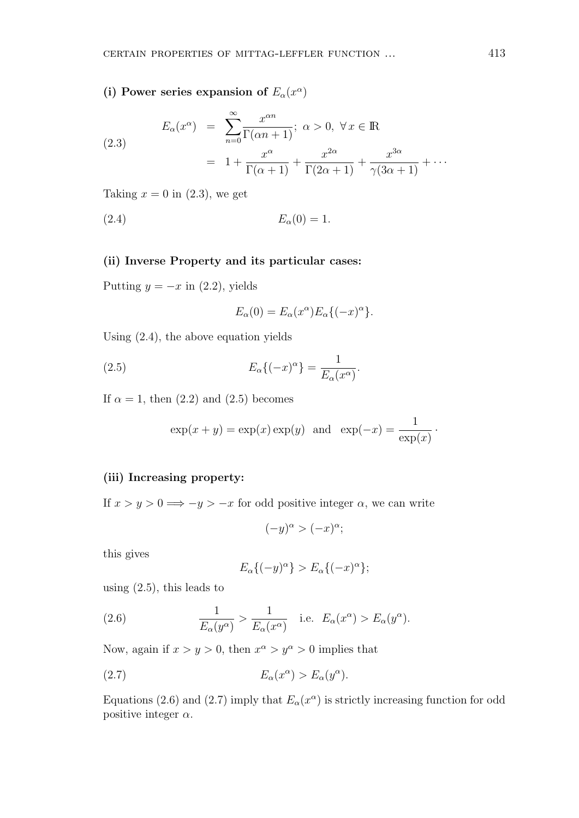(i) Power series expansion of  $E_\alpha(x^\alpha)$ 

(2.3)  

$$
E_{\alpha}(x^{\alpha}) = \sum_{n=0}^{\infty} \frac{x^{\alpha n}}{\Gamma(\alpha n + 1)}; \ \alpha > 0, \ \forall x \in \mathbb{R}
$$

$$
= 1 + \frac{x^{\alpha}}{\Gamma(\alpha + 1)} + \frac{x^{2\alpha}}{\Gamma(2\alpha + 1)} + \frac{x^{3\alpha}}{\gamma(3\alpha + 1)} + \cdots
$$

Taking  $x = 0$  in  $(2.3)$ , we get

$$
(2.4) \t\t\t E_{\alpha}(0) = 1.
$$

#### **(ii) Inverse Property and its particular cases:**

Putting  $y = -x$  in (2.2), yields

$$
E_{\alpha}(0) = E_{\alpha}(x^{\alpha})E_{\alpha}\{(-x)^{\alpha}\}.
$$

Using (2.4), the above equation yields

(2.5) 
$$
E_{\alpha}\{(-x)^{\alpha}\} = \frac{1}{E_{\alpha}(x^{\alpha})}.
$$

If  $\alpha = 1$ , then (2.2) and (2.5) becomes

$$
\exp(x + y) = \exp(x) \exp(y)
$$
 and  $\exp(-x) = \frac{1}{\exp(x)}$ .

### **(iii) Increasing property:**

If  $x > y > 0 \implies -y > -x$  for odd positive integer  $\alpha$ , we can write

$$
(-y)^{\alpha} > (-x)^{\alpha};
$$

this gives

$$
E_{\alpha}\{(-y)^{\alpha}\} > E_{\alpha}\{(-x)^{\alpha}\};
$$

using  $(2.5)$ , this leads to

(2.6) 
$$
\frac{1}{E_{\alpha}(y^{\alpha})} > \frac{1}{E_{\alpha}(x^{\alpha})} \quad \text{i.e.} \quad E_{\alpha}(x^{\alpha}) > E_{\alpha}(y^{\alpha}).
$$

Now, again if  $x > y > 0$ , then  $x^{\alpha} > y^{\alpha} > 0$  implies that

$$
(2.7) \t\t\t E_{\alpha}(x^{\alpha}) > E_{\alpha}(y^{\alpha}).
$$

Equations (2.6) and (2.7) imply that  $E_\alpha(x^\alpha)$  is strictly increasing function for odd positive integer *α*.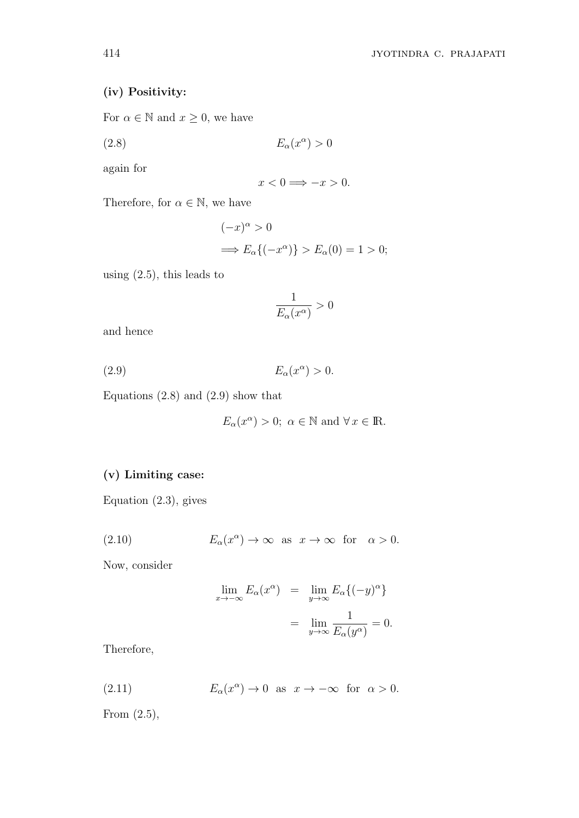## **(iv) Positivity:**

For  $\alpha \in \mathbb{N}$  and  $x \geq 0$ , we have

$$
(2.8) \t\t\t E_{\alpha}(x^{\alpha}) > 0
$$

again for

$$
x < 0 \Longrightarrow -x > 0.
$$

Therefore, for  $\alpha \in \mathbb{N}$ , we have

$$
(-x)^{\alpha} > 0
$$
  
\n
$$
\implies E_{\alpha}\{(-x^{\alpha})\} > E_{\alpha}(0) = 1 > 0;
$$

using (2.5), this leads to

$$
\frac{1}{E_{\alpha}(x^{\alpha})} > 0
$$

and hence

$$
(2.9) \t\t\t E_{\alpha}(x^{\alpha}) > 0.
$$

Equations  $(2.8)$  and  $(2.9)$  show that

$$
E_{\alpha}(x^{\alpha}) > 0; \ \alpha \in \mathbb{N} \text{ and } \forall x \in \mathbb{R}.
$$

## **(v) Limiting case:**

Equation (2.3), gives

(2.10) 
$$
E_{\alpha}(x^{\alpha}) \to \infty \text{ as } x \to \infty \text{ for } \alpha > 0.
$$

Now, consider

$$
\lim_{x \to -\infty} E_{\alpha}(x^{\alpha}) = \lim_{y \to \infty} E_{\alpha}\{(-y)^{\alpha}\}
$$

$$
= \lim_{y \to \infty} \frac{1}{E_{\alpha}(y^{\alpha})} = 0.
$$

Therefore,

(2.11) 
$$
E_{\alpha}(x^{\alpha}) \to 0 \text{ as } x \to -\infty \text{ for } \alpha > 0.
$$

From (2.5),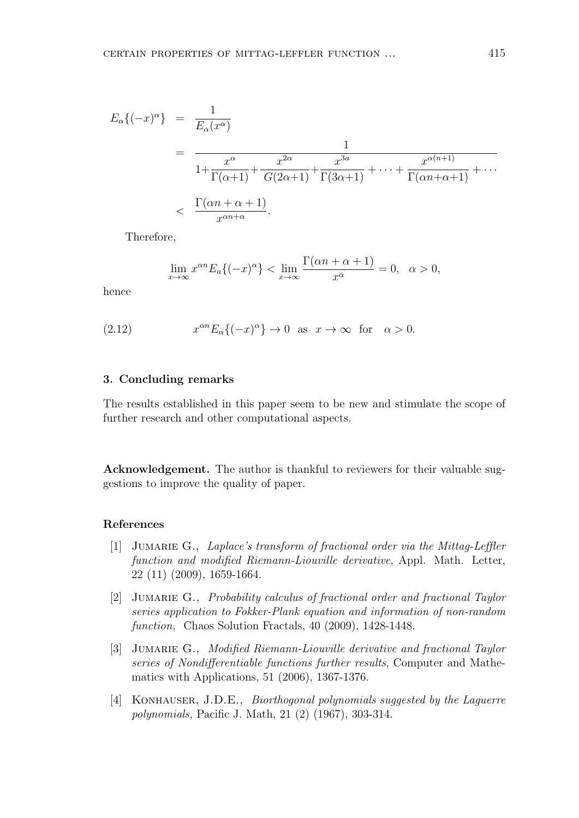$$
E_{\alpha}\{(-x)^{\alpha}\} = \frac{1}{E_{\alpha}(x^{\alpha})}
$$
  
= 
$$
\frac{1}{1 + \frac{x^{\alpha}}{\Gamma(\alpha+1)} + \frac{x^{2\alpha}}{G(2\alpha+1)} + \frac{x^{3a}}{\Gamma(3\alpha+1)} + \dots + \frac{x^{\alpha(n+1)}}{\Gamma(\alpha n+\alpha+1)} + \dots}
$$
  
< 
$$
< \frac{\Gamma(\alpha n + \alpha + 1)}{x^{\alpha n+\alpha}}.
$$

Therefore,

$$
\lim_{x \to \infty} x^{\alpha n} E_a \{ (-x)^{\alpha} \} < \lim_{x \to \infty} \frac{\Gamma(\alpha n + \alpha + 1)}{x^{\alpha}} = 0, \quad \alpha > 0,
$$

hence

(2.12) 
$$
x^{\alpha n} E_{\alpha}\{(-x)^{\alpha}\}\to 0 \text{ as } x \to \infty \text{ for } \alpha > 0.
$$

## **3. Concluding remarks**

The results established in this paper seem to be new and stimulate the scope of further research and other computational aspects.

**Acknowledgement.** The author is thankful to reviewers for their valuable suggestions to improve the quality of paper.

#### **References**

- [1] Jumarie G., *Laplace's transform of fractional order via the Mittag-Leffler function and modified Riemann-Liouville derivative*, Appl. Math. Letter, 22 (11) (2009), 1659-1664.
- [2] Jumarie G., *Probability calculus of fractional order and fractional Taylor series application to Fokker-Plank equation and information of non-random function,* Chaos Solution Fractals, 40 (2009), 1428-1448.
- [3] Jumarie G., *Modified Riemann-Liouville derivative and fractional Taylor series of Nondifferentiable functions further results*, Computer and Mathematics with Applications, 51 (2006), 1367-1376.
- [4] KONHAUSER, J.D.E., *Biorthogonal polynomials suggested by the Laguerre polynomials,* Pacific J. Math, 21 (2) (1967), 303-314.